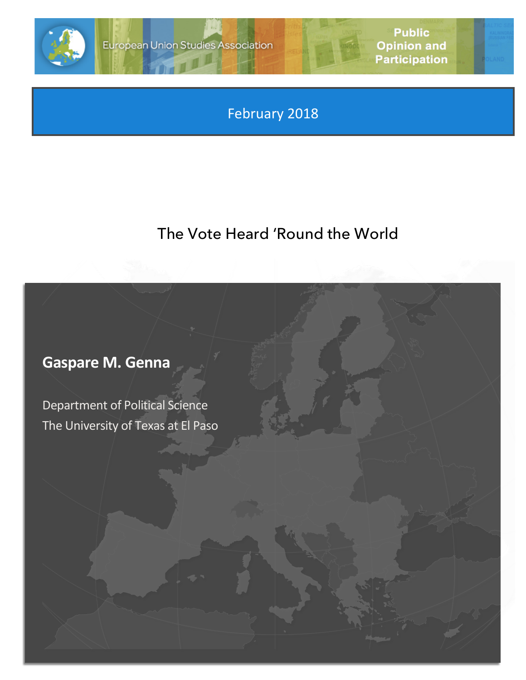

February 2018

## The Vote Heard 'Round the World

# **Gaspare M. Genna**

Department of Political Science The University of Texas at El Paso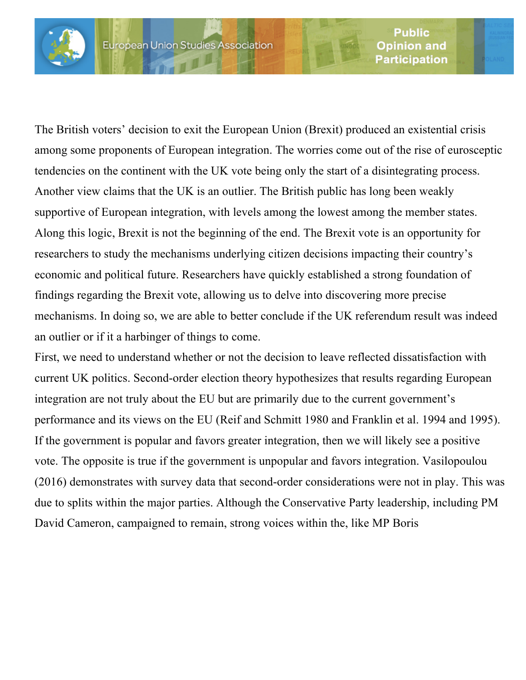

The British voters' decision to exit the European Union (Brexit) produced an existential crisis among some proponents of European integration. The worries come out of the rise of eurosceptic tendencies on the continent with the UK vote being only the start of a disintegrating process. Another view claims that the UK is an outlier. The British public has long been weakly supportive of European integration, with levels among the lowest among the member states. Along this logic, Brexit is not the beginning of the end. The Brexit vote is an opportunity for researchers to study the mechanisms underlying citizen decisions impacting their country's economic and political future. Researchers have quickly established a strong foundation of findings regarding the Brexit vote, allowing us to delve into discovering more precise mechanisms. In doing so, we are able to better conclude if the UK referendum result was indeed an outlier or if it a harbinger of things to come.

First, we need to understand whether or not the decision to leave reflected dissatisfaction with current UK politics. Second-order election theory hypothesizes that results regarding European integration are not truly about the EU but are primarily due to the current government's performance and its views on the EU (Reif and Schmitt 1980 and Franklin et al. 1994 and 1995). If the government is popular and favors greater integration, then we will likely see a positive vote. The opposite is true if the government is unpopular and favors integration. Vasilopoulou (2016) demonstrates with survey data that second-order considerations were not in play. This was due to splits within the major parties. Although the Conservative Party leadership, including PM David Cameron, campaigned to remain, strong voices within the, like MP Boris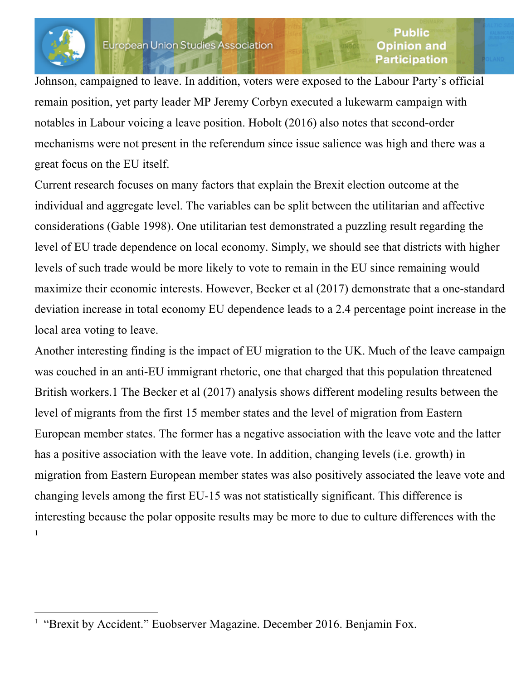

Johnson, campaigned to leave. In addition, voters were exposed to the Labour Party's official remain position, yet party leader MP Jeremy Corbyn executed a lukewarm campaign with notables in Labour voicing a leave position. Hobolt (2016) also notes that second-order mechanisms were not present in the referendum since issue salience was high and there was a great focus on the EU itself.

Current research focuses on many factors that explain the Brexit election outcome at the individual and aggregate level. The variables can be split between the utilitarian and affective considerations (Gable 1998). One utilitarian test demonstrated a puzzling result regarding the level of EU trade dependence on local economy. Simply, we should see that districts with higher levels of such trade would be more likely to vote to remain in the EU since remaining would maximize their economic interests. However, Becker et al (2017) demonstrate that a one-standard deviation increase in total economy EU dependence leads to a 2.4 percentage point increase in the local area voting to leave.

Another interesting finding is the impact of EU migration to the UK. Much of the leave campaign was couched in an anti-EU immigrant rhetoric, one that charged that this population threatened British workers.1 The Becker et al (2017) analysis shows different modeling results between the level of migrants from the first 15 member states and the level of migration from Eastern European member states. The former has a negative association with the leave vote and the latter has a positive association with the leave vote. In addition, changing levels (i.e. growth) in migration from Eastern European member states was also positively associated the leave vote and changing levels among the first EU-15 was not statistically significant. This difference is interesting because the polar opposite results may be more to due to culture differences with the 1

<sup>&</sup>quot;Brexit by Accident." Euobserver Magazine. December 2016. Benjamin Fox.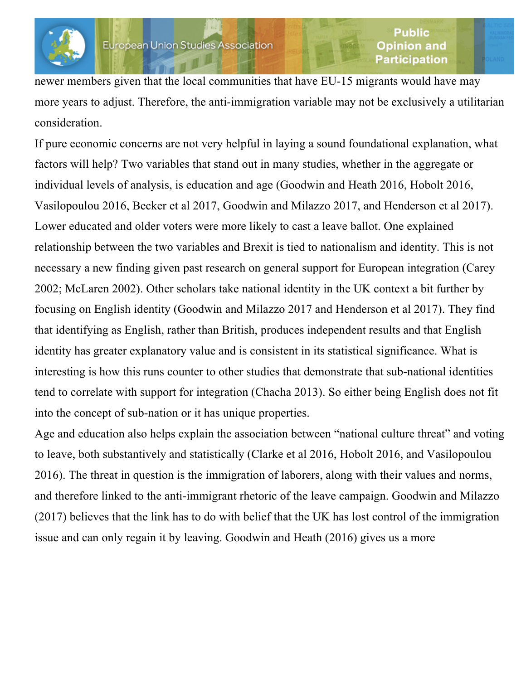

newer members given that the local communities that have EU-15 migrants would have may more years to adjust. Therefore, the anti-immigration variable may not be exclusively a utilitarian consideration.

If pure economic concerns are not very helpful in laying a sound foundational explanation, what factors will help? Two variables that stand out in many studies, whether in the aggregate or individual levels of analysis, is education and age (Goodwin and Heath 2016, Hobolt 2016, Vasilopoulou 2016, Becker et al 2017, Goodwin and Milazzo 2017, and Henderson et al 2017). Lower educated and older voters were more likely to cast a leave ballot. One explained relationship between the two variables and Brexit is tied to nationalism and identity. This is not necessary a new finding given past research on general support for European integration (Carey 2002; McLaren 2002). Other scholars take national identity in the UK context a bit further by focusing on English identity (Goodwin and Milazzo 2017 and Henderson et al 2017). They find that identifying as English, rather than British, produces independent results and that English identity has greater explanatory value and is consistent in its statistical significance. What is interesting is how this runs counter to other studies that demonstrate that sub-national identities tend to correlate with support for integration (Chacha 2013). So either being English does not fit into the concept of sub-nation or it has unique properties.

Age and education also helps explain the association between "national culture threat" and voting to leave, both substantively and statistically (Clarke et al 2016, Hobolt 2016, and Vasilopoulou 2016). The threat in question is the immigration of laborers, along with their values and norms, and therefore linked to the anti-immigrant rhetoric of the leave campaign. Goodwin and Milazzo (2017) believes that the link has to do with belief that the UK has lost control of the immigration issue and can only regain it by leaving. Goodwin and Heath (2016) gives us a more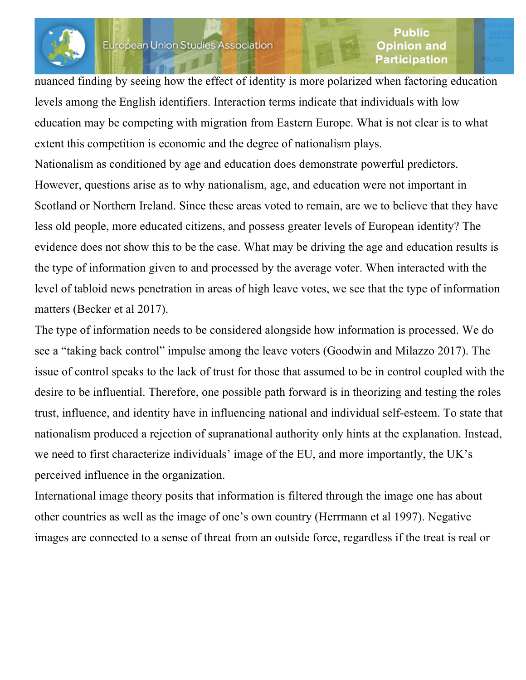

#### Public Opinion and **Participation**

nuanced finding by seeing how the effect of identity is more polarized when factoring education levels among the English identifiers. Interaction terms indicate that individuals with low education may be competing with migration from Eastern Europe. What is not clear is to what extent this competition is economic and the degree of nationalism plays.

Nationalism as conditioned by age and education does demonstrate powerful predictors. However, questions arise as to why nationalism, age, and education were not important in Scotland or Northern Ireland. Since these areas voted to remain, are we to believe that they have less old people, more educated citizens, and possess greater levels of European identity? The evidence does not show this to be the case. What may be driving the age and education results is the type of information given to and processed by the average voter. When interacted with the level of tabloid news penetration in areas of high leave votes, we see that the type of information matters (Becker et al 2017).

The type of information needs to be considered alongside how information is processed. We do see a "taking back control" impulse among the leave voters (Goodwin and Milazzo 2017). The issue of control speaks to the lack of trust for those that assumed to be in control coupled with the desire to be influential. Therefore, one possible path forward is in theorizing and testing the roles trust, influence, and identity have in influencing national and individual self-esteem. To state that nationalism produced a rejection of supranational authority only hints at the explanation. Instead, we need to first characterize individuals' image of the EU, and more importantly, the UK's perceived influence in the organization.

International image theory posits that information is filtered through the image one has about other countries as well as the image of one's own country (Herrmann et al 1997). Negative images are connected to a sense of threat from an outside force, regardless if the treat is real or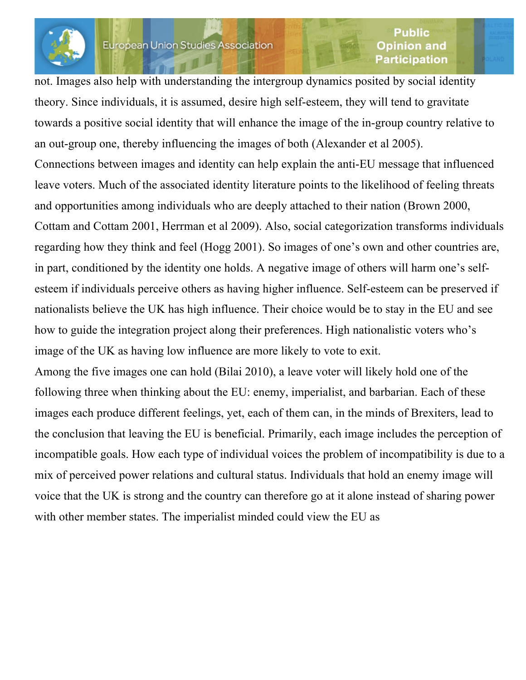

#### Public Opinion and **Participation**

not. Images also help with understanding the intergroup dynamics posited by social identity theory. Since individuals, it is assumed, desire high self-esteem, they will tend to gravitate towards a positive social identity that will enhance the image of the in-group country relative to an out-group one, thereby influencing the images of both (Alexander et al 2005). Connections between images and identity can help explain the anti-EU message that influenced leave voters. Much of the associated identity literature points to the likelihood of feeling threats and opportunities among individuals who are deeply attached to their nation (Brown 2000, Cottam and Cottam 2001, Herrman et al 2009). Also, social categorization transforms individuals regarding how they think and feel (Hogg 2001). So images of one's own and other countries are, in part, conditioned by the identity one holds. A negative image of others will harm one's selfesteem if individuals perceive others as having higher influence. Self-esteem can be preserved if nationalists believe the UK has high influence. Their choice would be to stay in the EU and see how to guide the integration project along their preferences. High nationalistic voters who's image of the UK as having low influence are more likely to vote to exit.

Among the five images one can hold (Bilai 2010), a leave voter will likely hold one of the following three when thinking about the EU: enemy, imperialist, and barbarian. Each of these images each produce different feelings, yet, each of them can, in the minds of Brexiters, lead to the conclusion that leaving the EU is beneficial. Primarily, each image includes the perception of incompatible goals. How each type of individual voices the problem of incompatibility is due to a mix of perceived power relations and cultural status. Individuals that hold an enemy image will voice that the UK is strong and the country can therefore go at it alone instead of sharing power with other member states. The imperialist minded could view the EU as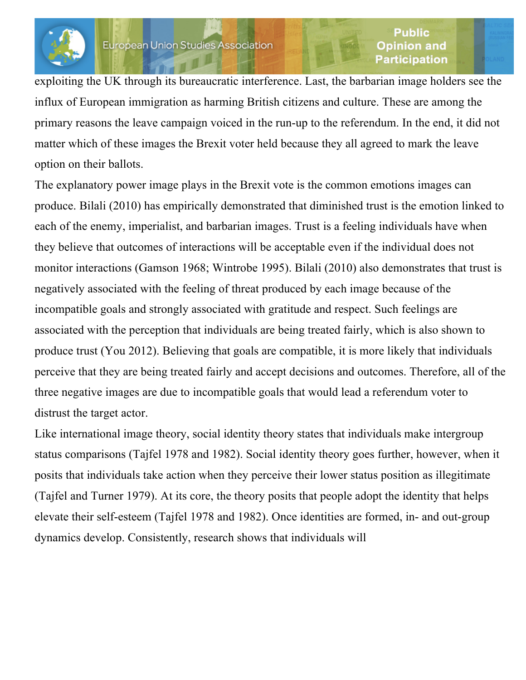

#### Public Opinion and **Participation**

exploiting the UK through its bureaucratic interference. Last, the barbarian image holders see the influx of European immigration as harming British citizens and culture. These are among the primary reasons the leave campaign voiced in the run-up to the referendum. In the end, it did not matter which of these images the Brexit voter held because they all agreed to mark the leave option on their ballots.

The explanatory power image plays in the Brexit vote is the common emotions images can produce. Bilali (2010) has empirically demonstrated that diminished trust is the emotion linked to each of the enemy, imperialist, and barbarian images. Trust is a feeling individuals have when they believe that outcomes of interactions will be acceptable even if the individual does not monitor interactions (Gamson 1968; Wintrobe 1995). Bilali (2010) also demonstrates that trust is negatively associated with the feeling of threat produced by each image because of the incompatible goals and strongly associated with gratitude and respect. Such feelings are associated with the perception that individuals are being treated fairly, which is also shown to produce trust (You 2012). Believing that goals are compatible, it is more likely that individuals perceive that they are being treated fairly and accept decisions and outcomes. Therefore, all of the three negative images are due to incompatible goals that would lead a referendum voter to distrust the target actor.

Like international image theory, social identity theory states that individuals make intergroup status comparisons (Tajfel 1978 and 1982). Social identity theory goes further, however, when it posits that individuals take action when they perceive their lower status position as illegitimate (Tajfel and Turner 1979). At its core, the theory posits that people adopt the identity that helps elevate their self-esteem (Tajfel 1978 and 1982). Once identities are formed, in- and out-group dynamics develop. Consistently, research shows that individuals will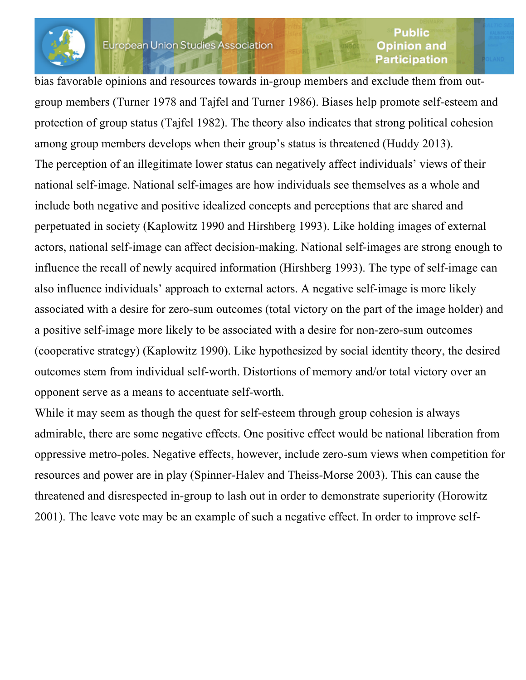### European Union Studies Association

#### Public Opinion and **Participation**

bias favorable opinions and resources towards in-group members and exclude them from outgroup members (Turner 1978 and Tajfel and Turner 1986). Biases help promote self-esteem and protection of group status (Tajfel 1982). The theory also indicates that strong political cohesion among group members develops when their group's status is threatened (Huddy 2013). The perception of an illegitimate lower status can negatively affect individuals' views of their national self-image. National self-images are how individuals see themselves as a whole and include both negative and positive idealized concepts and perceptions that are shared and perpetuated in society (Kaplowitz 1990 and Hirshberg 1993). Like holding images of external actors, national self-image can affect decision-making. National self-images are strong enough to influence the recall of newly acquired information (Hirshberg 1993). The type of self-image can also influence individuals' approach to external actors. A negative self-image is more likely associated with a desire for zero-sum outcomes (total victory on the part of the image holder) and a positive self-image more likely to be associated with a desire for non-zero-sum outcomes (cooperative strategy) (Kaplowitz 1990). Like hypothesized by social identity theory, the desired outcomes stem from individual self-worth. Distortions of memory and/or total victory over an opponent serve as a means to accentuate self-worth.

While it may seem as though the quest for self-esteem through group cohesion is always admirable, there are some negative effects. One positive effect would be national liberation from oppressive metro-poles. Negative effects, however, include zero-sum views when competition for resources and power are in play (Spinner-Halev and Theiss-Morse 2003). This can cause the threatened and disrespected in-group to lash out in order to demonstrate superiority (Horowitz 2001). The leave vote may be an example of such a negative effect. In order to improve self-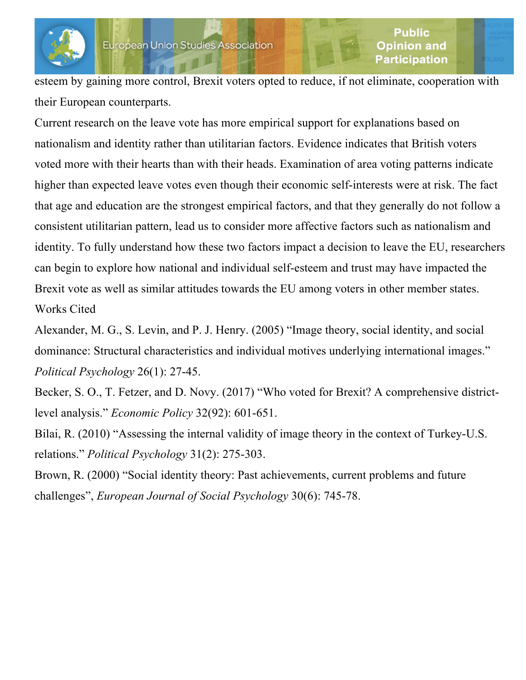

esteem by gaining more control, Brexit voters opted to reduce, if not eliminate, cooperation with their European counterparts.

Current research on the leave vote has more empirical support for explanations based on nationalism and identity rather than utilitarian factors. Evidence indicates that British voters voted more with their hearts than with their heads. Examination of area voting patterns indicate higher than expected leave votes even though their economic self-interests were at risk. The fact that age and education are the strongest empirical factors, and that they generally do not follow a consistent utilitarian pattern, lead us to consider more affective factors such as nationalism and identity. To fully understand how these two factors impact a decision to leave the EU, researchers can begin to explore how national and individual self-esteem and trust may have impacted the Brexit vote as well as similar attitudes towards the EU among voters in other member states. Works Cited

Alexander, M. G., S. Levin, and P. J. Henry. (2005) "Image theory, social identity, and social dominance: Structural characteristics and individual motives underlying international images." *Political Psychology* 26(1): 27-45.

Becker, S. O., T. Fetzer, and D. Novy. (2017) "Who voted for Brexit? A comprehensive districtlevel analysis." *Economic Policy* 32(92): 601-651.

Bilai, R. (2010) "Assessing the internal validity of image theory in the context of Turkey-U.S. relations." *Political Psychology* 31(2): 275-303.

Brown, R. (2000) "Social identity theory: Past achievements, current problems and future challenges", *European Journal of Social Psychology* 30(6): 745-78.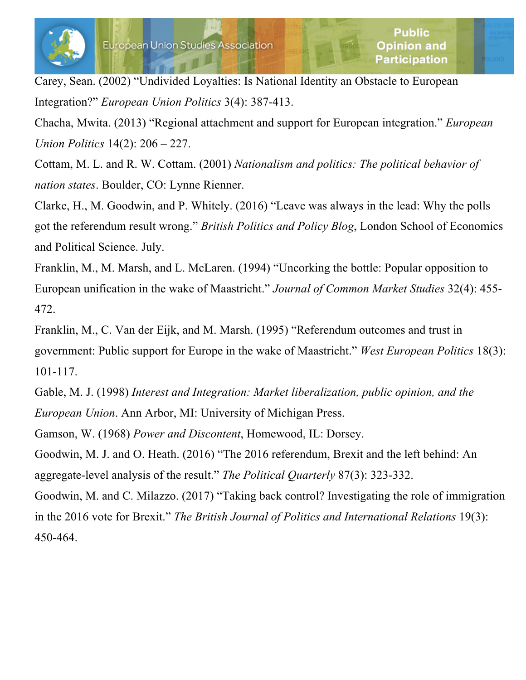

Carey, Sean. (2002) "Undivided Loyalties: Is National Identity an Obstacle to European Integration?" *European Union Politics* 3(4): 387-413.

Chacha, Mwita. (2013) "Regional attachment and support for European integration." *European Union Politics* 14(2): 206 – 227.

Cottam, M. L. and R. W. Cottam. (2001) *Nationalism and politics: The political behavior of nation states*. Boulder, CO: Lynne Rienner.

Clarke, H., M. Goodwin, and P. Whitely. (2016) "Leave was always in the lead: Why the polls got the referendum result wrong." *British Politics and Policy Blog*, London School of Economics and Political Science. July.

Franklin, M., M. Marsh, and L. McLaren. (1994) "Uncorking the bottle: Popular opposition to European unification in the wake of Maastricht." *Journal of Common Market Studies* 32(4): 455- 472.

Franklin, M., C. Van der Eijk, and M. Marsh. (1995) "Referendum outcomes and trust in government: Public support for Europe in the wake of Maastricht." *West European Politics* 18(3): 101-117.

Gable, M. J. (1998) *Interest and Integration: Market liberalization, public opinion, and the European Union*. Ann Arbor, MI: University of Michigan Press.

Gamson, W. (1968) *Power and Discontent*, Homewood, IL: Dorsey.

Goodwin, M. J. and O. Heath. (2016) "The 2016 referendum, Brexit and the left behind: An aggregate-level analysis of the result." *The Political Quarterly* 87(3): 323-332.

Goodwin, M. and C. Milazzo. (2017) "Taking back control? Investigating the role of immigration in the 2016 vote for Brexit." *The British Journal of Politics and International Relations* 19(3): 450-464.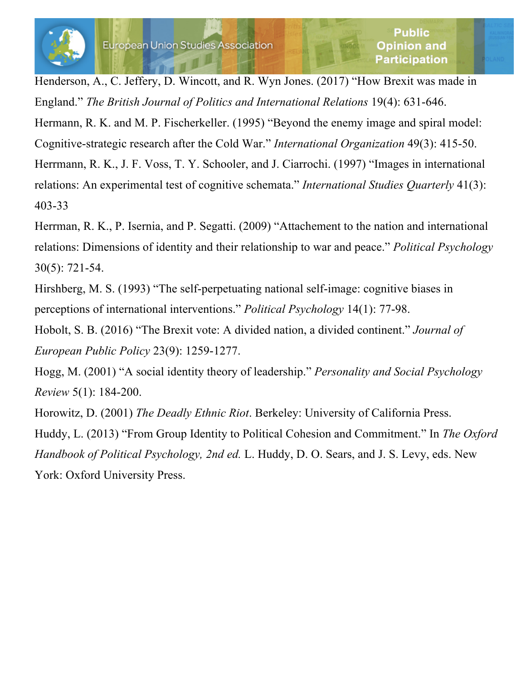Henderson, A., C. Jeffery, D. Wincott, and R. Wyn Jones. (2017) "How Brexit was made in England." *The British Journal of Politics and International Relations* 19(4): 631-646.

Hermann, R. K. and M. P. Fischerkeller. (1995) "Beyond the enemy image and spiral model: Cognitive-strategic research after the Cold War." *International Organization* 49(3): 415-50. Herrmann, R. K., J. F. Voss, T. Y. Schooler, and J. Ciarrochi. (1997) "Images in international relations: An experimental test of cognitive schemata." *International Studies Quarterly* 41(3): 403-33

Herrman, R. K., P. Isernia, and P. Segatti. (2009) "Attachement to the nation and international relations: Dimensions of identity and their relationship to war and peace." *Political Psychology* 30(5): 721-54.

Hirshberg, M. S. (1993) "The self-perpetuating national self-image: cognitive biases in perceptions of international interventions." *Political Psychology* 14(1): 77-98.

Hobolt, S. B. (2016) "The Brexit vote: A divided nation, a divided continent." *Journal of European Public Policy* 23(9): 1259-1277.

Hogg, M. (2001) "A social identity theory of leadership." *Personality and Social Psychology Review* 5(1): 184-200.

Horowitz, D. (2001) *The Deadly Ethnic Riot*. Berkeley: University of California Press. Huddy, L. (2013) "From Group Identity to Political Cohesion and Commitment." In *The Oxford Handbook of Political Psychology, 2nd ed.* L. Huddy, D. O. Sears, and J. S. Levy, eds. New York: Oxford University Press.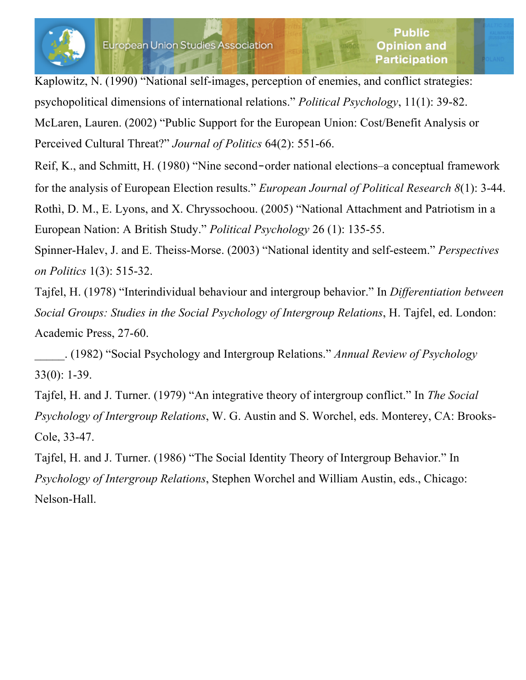

Kaplowitz, N. (1990) "National self-images, perception of enemies, and conflict strategies: psychopolitical dimensions of international relations." *Political Psychology*, 11(1): 39-82. McLaren, Lauren. (2002) "Public Support for the European Union: Cost/Benefit Analysis or Perceived Cultural Threat?" *Journal of Politics* 64(2): 551-66.

Reif, K., and Schmitt, H. (1980) "Nine second‐order national elections–a conceptual framework for the analysis of European Election results." *European Journal of Political Research 8*(1): 3-44. Rothì, D. M., E. Lyons, and X. Chryssochoou. (2005) "National Attachment and Patriotism in a European Nation: A British Study." *Political Psychology* 26 (1): 135-55.

Spinner-Halev, J. and E. Theiss-Morse. (2003) "National identity and self-esteem." *Perspectives on Politics* 1(3): 515-32.

Tajfel, H. (1978) "Interindividual behaviour and intergroup behavior." In *Differentiation between Social Groups: Studies in the Social Psychology of Intergroup Relations*, H. Tajfel, ed. London: Academic Press, 27-60.

\_\_\_\_\_. (1982) "Social Psychology and Intergroup Relations." *Annual Review of Psychology* 33(0): 1-39.

Tajfel, H. and J. Turner. (1979) "An integrative theory of intergroup conflict." In *The Social Psychology of Intergroup Relations*, W. G. Austin and S. Worchel, eds. Monterey, CA: Brooks-Cole, 33-47.

Tajfel, H. and J. Turner. (1986) "The Social Identity Theory of Intergroup Behavior." In *Psychology of Intergroup Relations*, Stephen Worchel and William Austin, eds., Chicago: Nelson-Hall.